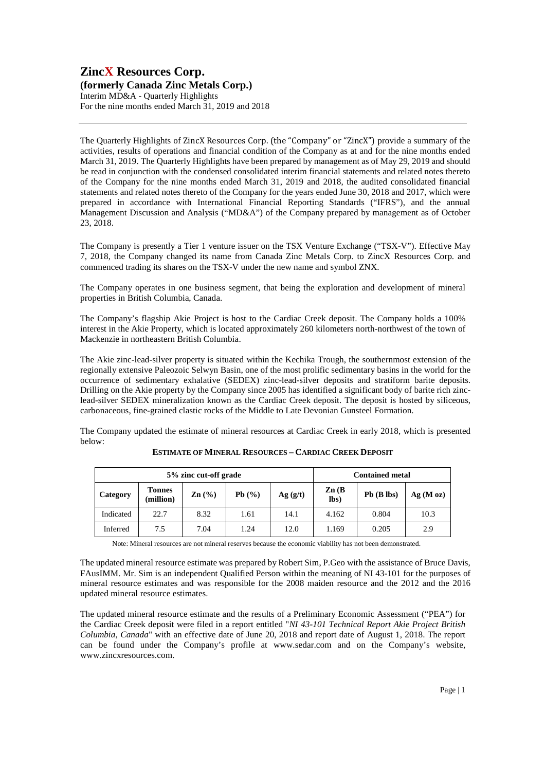# **ZincX Resources Corp. (formerly Canada Zinc Metals Corp.)**

Interim MD&A - Quarterly Highlights For the nine months ended March 31, 2019 and 2018

The Quarterly Highlights of ZincX Resources Corp. (the "Company" or "ZincX") provide a summary of the activities, results of operations and financial condition of the Company as at and for the nine months ended March 31, 2019. The Quarterly Highlights have been prepared by management as of May 29, 2019 and should be read in conjunction with the condensed consolidated interim financial statements and related notes thereto of the Company for the nine months ended March 31, 2019 and 2018, the audited consolidated financial statements and related notes thereto of the Company for the years ended June 30, 2018 and 2017, which were prepared in accordance with International Financial Reporting Standards ("IFRS"), and the annual Management Discussion and Analysis ("MD&A") of the Company prepared by management as of October 23, 2018.

The Company is presently a Tier 1 venture issuer on the TSX Venture Exchange ("TSX-V"). Effective May 7, 2018, the Company changed its name from Canada Zinc Metals Corp. to ZincX Resources Corp. and commenced trading its shares on the TSX-V under the new name and symbol ZNX.

The Company operates in one business segment, that being the exploration and development of mineral properties in British Columbia, Canada.

The Company's flagship Akie Project is host to the Cardiac Creek deposit. The Company holds a 100% interest in the Akie Property, which is located approximately 260 kilometers north-northwest of the town of Mackenzie in northeastern British Columbia.

The Akie zinc-lead-silver property is situated within the Kechika Trough, the southernmost extension of the regionally extensive Paleozoic Selwyn Basin, one of the most prolific sedimentary basins in the world for the occurrence of sedimentary exhalative (SEDEX) zinc-lead-silver deposits and stratiform barite deposits. Drilling on the Akie property by the Company since 2005 has identified a significant body of barite rich zinclead-silver SEDEX mineralization known as the Cardiac Creek deposit. The deposit is hosted by siliceous, carbonaceous, fine-grained clastic rocks of the Middle to Late Devonian Gunsteel Formation.

The Company updated the estimate of mineral resources at Cardiac Creek in early 2018, which is presented below:

| 5% zinc cut-off grade |                            |                 |       |          | <b>Contained metal</b>    |                 |         |
|-----------------------|----------------------------|-----------------|-------|----------|---------------------------|-----------------|---------|
| Category              | <b>Tonnes</b><br>(million) | $\text{Zn}$ (%) | Pb(%) | Ag( g/t) | $\mathbf{Zn}$ (B)<br>lbs) | $Pb$ ( $B$ lbs) | Ag(Moz) |
| Indicated             | 22.7                       | 8.32            | 1.61  | 14.1     | 4.162                     | 0.804           | 10.3    |
| Inferred              | 7.5                        | 7.04            | 1.24  | 12.0     | 1.169                     | 0.205           | 2.9     |

**ESTIMATE OF MINERAL RESOURCES – CARDIAC CREEK DEPOSIT**

Note: Mineral resources are not mineral reserves because the economic viability has not been demonstrated.

The updated mineral resource estimate was prepared by Robert Sim, P.Geo with the assistance of Bruce Davis, FAusIMM. Mr. Sim is an independent Qualified Person within the meaning of NI 43-101 for the purposes of mineral resource estimates and was responsible for the 2008 maiden resource and the 2012 and the 2016 updated mineral resource estimates.

The updated mineral resource estimate and the results of a Preliminary Economic Assessment ("PEA") for the Cardiac Creek deposit were filed in a report entitled "*NI 43-101 Technical Report Akie Project British Columbia, Canada*" with an effective date of June 20, 2018 and report date of August 1, 2018. The report can be found under the Company's profile at www.sedar.com and on the Company's website, www.zincxresources.com.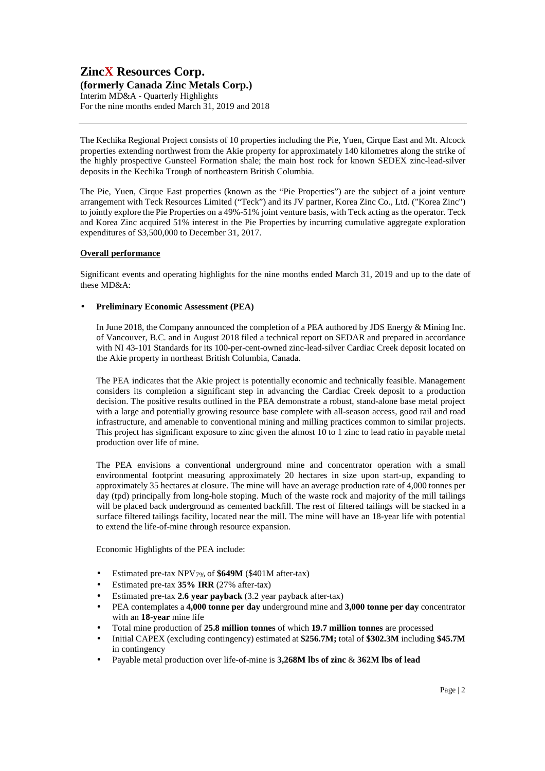# **ZincX Resources Corp. (formerly Canada Zinc Metals Corp.)**  Interim MD&A - Quarterly Highlights For the nine months ended March 31, 2019 and 2018

The Kechika Regional Project consists of 10 properties including the Pie, Yuen, Cirque East and Mt. Alcock properties extending northwest from the Akie property for approximately 140 kilometres along the strike of the highly prospective Gunsteel Formation shale; the main host rock for known SEDEX zinc-lead-silver deposits in the Kechika Trough of northeastern British Columbia.

The Pie, Yuen, Cirque East properties (known as the "Pie Properties") are the subject of a joint venture arrangement with Teck Resources Limited ("Teck") and its JV partner, Korea Zinc Co., Ltd. ("Korea Zinc") to jointly explore the Pie Properties on a 49%-51% joint venture basis, with Teck acting as the operator. Teck and Korea Zinc acquired 51% interest in the Pie Properties by incurring cumulative aggregate exploration expenditures of \$3,500,000 to December 31, 2017.

#### **Overall performance**

Significant events and operating highlights for the nine months ended March 31, 2019 and up to the date of these MD&A:

### • **Preliminary Economic Assessment (PEA)**

In June 2018, the Company announced the completion of a PEA authored by JDS Energy & Mining Inc. of Vancouver, B.C. and in August 2018 filed a technical report on SEDAR and prepared in accordance with NI 43-101 Standards for its 100-per-cent-owned zinc-lead-silver Cardiac Creek deposit located on the Akie property in northeast British Columbia, Canada.

The PEA indicates that the Akie project is potentially economic and technically feasible. Management considers its completion a significant step in advancing the Cardiac Creek deposit to a production decision. The positive results outlined in the PEA demonstrate a robust, stand-alone base metal project with a large and potentially growing resource base complete with all-season access, good rail and road infrastructure, and amenable to conventional mining and milling practices common to similar projects. This project has significant exposure to zinc given the almost 10 to 1 zinc to lead ratio in payable metal production over life of mine.

The PEA envisions a conventional underground mine and concentrator operation with a small environmental footprint measuring approximately 20 hectares in size upon start-up, expanding to approximately 35 hectares at closure. The mine will have an average production rate of 4,000 tonnes per day (tpd) principally from long-hole stoping. Much of the waste rock and majority of the mill tailings will be placed back underground as cemented backfill. The rest of filtered tailings will be stacked in a surface filtered tailings facility, located near the mill. The mine will have an 18-year life with potential to extend the life-of-mine through resource expansion.

Economic Highlights of the PEA include:

- Estimated pre-tax NPV7% of **\$649M** (\$401M after-tax)
- Estimated pre-tax **35% IRR** (27% after-tax)
- Estimated pre-tax **2.6 year payback** (3.2 year payback after-tax)
- PEA contemplates a **4,000 tonne per day** underground mine and **3,000 tonne per day** concentrator with an **18-year** mine life
- Total mine production of **25.8 million tonnes** of which **19.7 million tonnes** are processed
- Initial CAPEX (excluding contingency) estimated at **\$256.7M;** total of **\$302.3M** including **\$45.7M** in contingency
- Payable metal production over life-of-mine is **3,268M lbs of zinc** & **362M lbs of lead**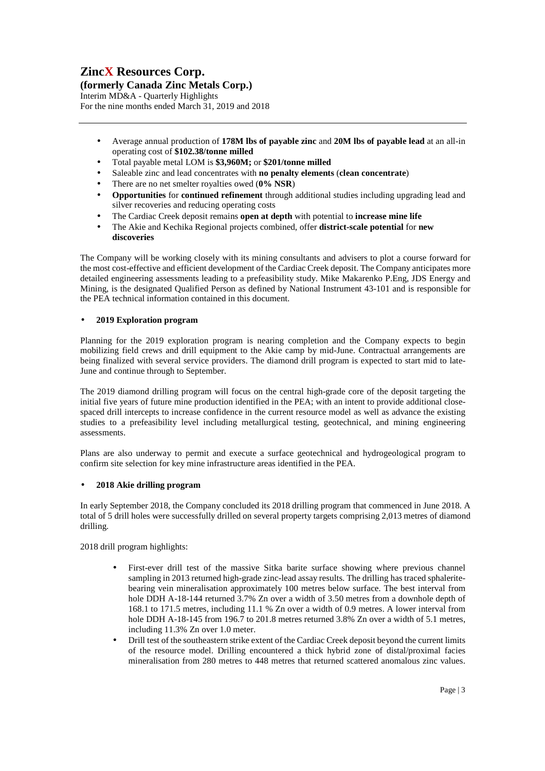**(formerly Canada Zinc Metals Corp.)** 

Interim MD&A - Quarterly Highlights For the nine months ended March 31, 2019 and 2018

- Average annual production of **178M lbs of payable zinc** and **20M lbs of payable lead** at an all-in operating cost of **\$102.38/tonne milled**
- Total payable metal LOM is **\$3,960M;** or **\$201/tonne milled**
- Saleable zinc and lead concentrates with **no penalty elements** (**clean concentrate**)
- There are no net smelter royalties owed (**0% NSR**)
- **Opportunities** for **continued refinement** through additional studies including upgrading lead and silver recoveries and reducing operating costs
- The Cardiac Creek deposit remains **open at depth** with potential to **increase mine life**
- The Akie and Kechika Regional projects combined, offer **district-scale potential** for **new discoveries**

The Company will be working closely with its mining consultants and advisers to plot a course forward for the most cost-effective and efficient development of the Cardiac Creek deposit. The Company anticipates more detailed engineering assessments leading to a prefeasibility study. Mike Makarenko P.Eng, JDS Energy and Mining, is the designated Qualified Person as defined by National Instrument 43-101 and is responsible for the PEA technical information contained in this document.

# • **2019 Exploration program**

Planning for the 2019 exploration program is nearing completion and the Company expects to begin mobilizing field crews and drill equipment to the Akie camp by mid-June. Contractual arrangements are being finalized with several service providers. The diamond drill program is expected to start mid to late-June and continue through to September.

The 2019 diamond drilling program will focus on the central high-grade core of the deposit targeting the initial five years of future mine production identified in the PEA; with an intent to provide additional closespaced drill intercepts to increase confidence in the current resource model as well as advance the existing studies to a prefeasibility level including metallurgical testing, geotechnical, and mining engineering assessments.

Plans are also underway to permit and execute a surface geotechnical and hydrogeological program to confirm site selection for key mine infrastructure areas identified in the PEA.

# • **2018 Akie drilling program**

In early September 2018, the Company concluded its 2018 drilling program that commenced in June 2018. A total of 5 drill holes were successfully drilled on several property targets comprising 2,013 metres of diamond drilling.

2018 drill program highlights:

- First-ever drill test of the massive Sitka barite surface showing where previous channel sampling in 2013 returned high-grade zinc-lead assay results. The drilling has traced sphaleritebearing vein mineralisation approximately 100 metres below surface. The best interval from hole DDH A-18-144 returned 3.7% Zn over a width of 3.50 metres from a downhole depth of 168.1 to 171.5 metres, including 11.1 % Zn over a width of 0.9 metres. A lower interval from hole DDH A-18-145 from 196.7 to 201.8 metres returned 3.8% Zn over a width of 5.1 metres, including 11.3% Zn over 1.0 meter.
- Drill test of the southeastern strike extent of the Cardiac Creek deposit beyond the current limits of the resource model. Drilling encountered a thick hybrid zone of distal/proximal facies mineralisation from 280 metres to 448 metres that returned scattered anomalous zinc values.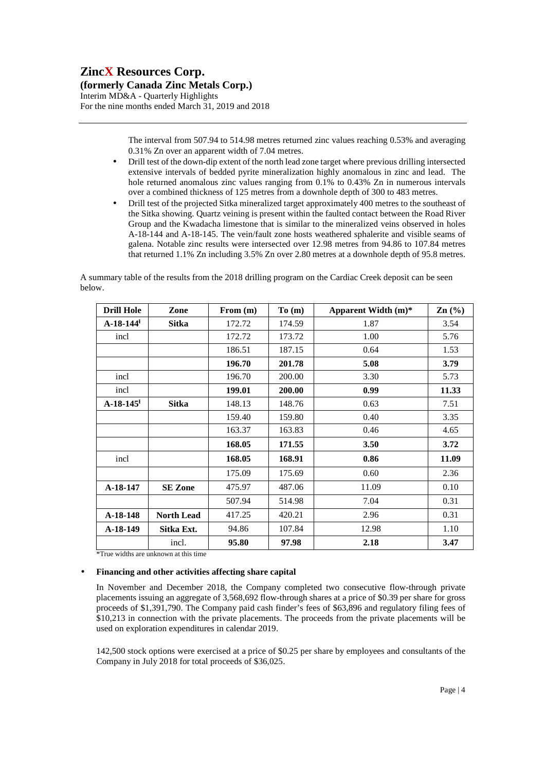**(formerly Canada Zinc Metals Corp.)** 

Interim MD&A - Quarterly Highlights For the nine months ended March 31, 2019 and 2018

> The interval from 507.94 to 514.98 metres returned zinc values reaching 0.53% and averaging 0.31% Zn over an apparent width of 7.04 metres.

- Drill test of the down-dip extent of the north lead zone target where previous drilling intersected extensive intervals of bedded pyrite mineralization highly anomalous in zinc and lead. The hole returned anomalous zinc values ranging from 0.1% to 0.43% Zn in numerous intervals over a combined thickness of 125 metres from a downhole depth of 300 to 483 metres.
- Drill test of the projected Sitka mineralized target approximately 400 metres to the southeast of the Sitka showing. Quartz veining is present within the faulted contact between the Road River Group and the Kwadacha limestone that is similar to the mineralized veins observed in holes A-18-144 and A-18-145. The vein/fault zone hosts weathered sphalerite and visible seams of galena. Notable zinc results were intersected over 12.98 metres from 94.86 to 107.84 metres that returned 1.1% Zn including 3.5% Zn over 2.80 metres at a downhole depth of 95.8 metres.

A summary table of the results from the 2018 drilling program on the Cardiac Creek deposit can be seen below.

| <b>Drill Hole</b>       | Zone              | From (m) | To(m)  | Apparent Width $(m)^*$ | $\text{Zn}$ (%) |
|-------------------------|-------------------|----------|--------|------------------------|-----------------|
| $A-18-144$ <sup>H</sup> | <b>Sitka</b>      | 172.72   | 174.59 | 1.87                   | 3.54            |
| incl                    |                   | 172.72   | 173.72 | 1.00                   | 5.76            |
|                         |                   | 186.51   | 187.15 | 0.64                   | 1.53            |
|                         |                   | 196.70   | 201.78 | 5.08                   | 3.79            |
| incl                    |                   | 196.70   | 200.00 | 3.30                   | 5.73            |
| incl                    |                   | 199.01   | 200.00 | 0.99                   | 11.33           |
| $A-18-145$ <sup>H</sup> | <b>Sitka</b>      | 148.13   | 148.76 | 0.63                   | 7.51            |
|                         |                   | 159.40   | 159.80 | 0.40                   | 3.35            |
|                         |                   | 163.37   | 163.83 | 0.46                   | 4.65            |
|                         |                   | 168.05   | 171.55 | 3.50                   | 3.72            |
| incl                    |                   | 168.05   | 168.91 | 0.86                   | 11.09           |
|                         |                   | 175.09   | 175.69 | 0.60                   | 2.36            |
| A-18-147                | <b>SE Zone</b>    | 475.97   | 487.06 | 11.09                  | 0.10            |
|                         |                   | 507.94   | 514.98 | 7.04                   | 0.31            |
| $A-18-148$              | <b>North Lead</b> | 417.25   | 420.21 | 2.96                   | 0.31            |
| A-18-149                | Sitka Ext.        | 94.86    | 107.84 | 12.98                  | 1.10            |
|                         | incl.             | 95.80    | 97.98  | 2.18                   | 3.47            |

\*True widths are unknown at this time

#### • **Financing and other activities affecting share capital**

In November and December 2018, the Company completed two consecutive flow-through private placements issuing an aggregate of 3,568,692 flow-through shares at a price of \$0.39 per share for gross proceeds of \$1,391,790. The Company paid cash finder's fees of \$63,896 and regulatory filing fees of \$10,213 in connection with the private placements. The proceeds from the private placements will be used on exploration expenditures in calendar 2019.

142,500 stock options were exercised at a price of \$0.25 per share by employees and consultants of the Company in July 2018 for total proceeds of \$36,025.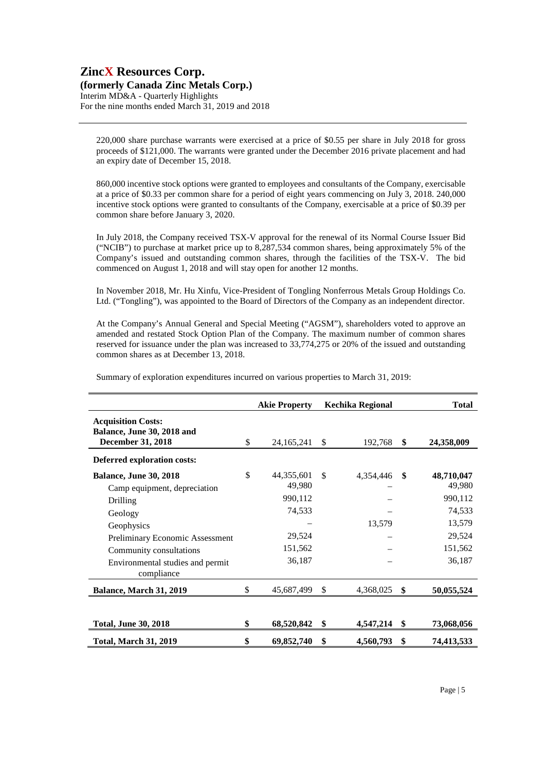**(formerly Canada Zinc Metals Corp.)**  Interim MD&A - Quarterly Highlights

For the nine months ended March 31, 2019 and 2018

220,000 share purchase warrants were exercised at a price of \$0.55 per share in July 2018 for gross proceeds of \$121,000. The warrants were granted under the December 2016 private placement and had an expiry date of December 15, 2018.

860,000 incentive stock options were granted to employees and consultants of the Company, exercisable at a price of \$0.33 per common share for a period of eight years commencing on July 3, 2018. 240,000 incentive stock options were granted to consultants of the Company, exercisable at a price of \$0.39 per common share before January 3, 2020.

In July 2018, the Company received TSX-V approval for the renewal of its Normal Course Issuer Bid ("NCIB") to purchase at market price up to 8,287,534 common shares, being approximately 5% of the Company's issued and outstanding common shares, through the facilities of the TSX-V. The bid commenced on August 1, 2018 and will stay open for another 12 months.

In November 2018, Mr. Hu Xinfu, Vice-President of Tongling Nonferrous Metals Group Holdings Co. Ltd. ("Tongling"), was appointed to the Board of Directors of the Company as an independent director.

At the Company's Annual General and Special Meeting ("AGSM"), shareholders voted to approve an amended and restated Stock Option Plan of the Company. The maximum number of common shares reserved for issuance under the plan was increased to 33,774,275 or 20% of the issued and outstanding common shares as at December 13, 2018.

|                                                                                     | <b>Akie Property</b>       |               | Kechika Regional |     | <b>Total</b>         |
|-------------------------------------------------------------------------------------|----------------------------|---------------|------------------|-----|----------------------|
| <b>Acquisition Costs:</b><br>Balance, June 30, 2018 and<br><b>December 31, 2018</b> | \$<br>24, 165, 241         | $\mathbb{S}$  | 192,768          | \$  | 24,358,009           |
| Deferred exploration costs:                                                         |                            |               |                  |     |                      |
| <b>Balance, June 30, 2018</b><br>Camp equipment, depreciation                       | \$<br>44,355,601<br>49,980 | <sup>\$</sup> | 4,354,446        | \$  | 48,710,047<br>49,980 |
| Drilling                                                                            | 990,112                    |               |                  |     | 990,112              |
| Geology                                                                             | 74,533                     |               |                  |     | 74,533               |
| Geophysics                                                                          |                            |               | 13,579           |     | 13,579               |
| Preliminary Economic Assessment                                                     | 29,524                     |               |                  |     | 29,524               |
| Community consultations                                                             | 151,562                    |               |                  |     | 151,562              |
| Environmental studies and permit<br>compliance                                      | 36,187                     |               |                  |     | 36,187               |
| Balance, March 31, 2019                                                             | \$<br>45,687,499           | \$            | 4,368,025        | \$  | 50,055,524           |
|                                                                                     |                            |               |                  |     |                      |
| <b>Total, June 30, 2018</b>                                                         | \$<br>68,520,842           | \$            | 4,547,214        | -\$ | 73,068,056           |
| <b>Total, March 31, 2019</b>                                                        | \$<br>69,852,740           | \$            | 4,560,793        | \$  | 74,413,533           |

Summary of exploration expenditures incurred on various properties to March 31, 2019: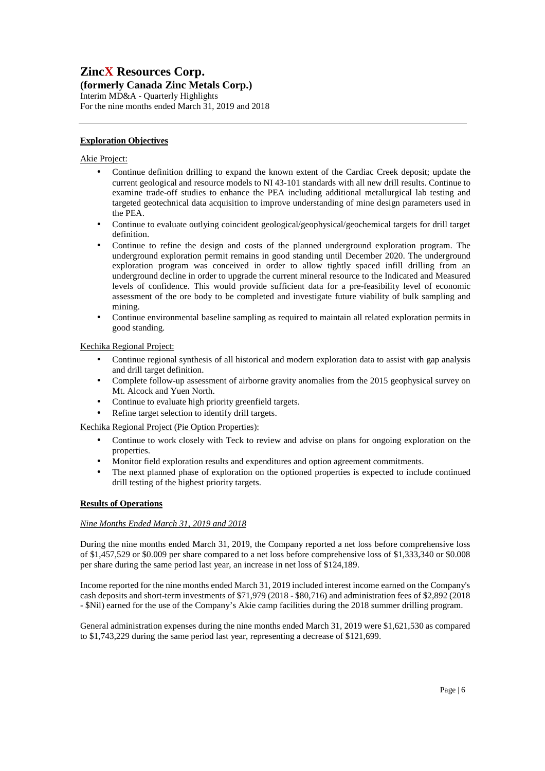# **(formerly Canada Zinc Metals Corp.)**

Interim MD&A - Quarterly Highlights For the nine months ended March 31, 2019 and 2018

### **Exploration Objectives**

### Akie Project:

- Continue definition drilling to expand the known extent of the Cardiac Creek deposit; update the current geological and resource models to NI 43-101 standards with all new drill results. Continue to examine trade-off studies to enhance the PEA including additional metallurgical lab testing and targeted geotechnical data acquisition to improve understanding of mine design parameters used in the PEA.
- Continue to evaluate outlying coincident geological/geophysical/geochemical targets for drill target definition.
- Continue to refine the design and costs of the planned underground exploration program. The underground exploration permit remains in good standing until December 2020. The underground exploration program was conceived in order to allow tightly spaced infill drilling from an underground decline in order to upgrade the current mineral resource to the Indicated and Measured levels of confidence. This would provide sufficient data for a pre-feasibility level of economic assessment of the ore body to be completed and investigate future viability of bulk sampling and mining.
- Continue environmental baseline sampling as required to maintain all related exploration permits in good standing.

### Kechika Regional Project:

- Continue regional synthesis of all historical and modern exploration data to assist with gap analysis and drill target definition.
- Complete follow-up assessment of airborne gravity anomalies from the 2015 geophysical survey on Mt. Alcock and Yuen North.
- Continue to evaluate high priority greenfield targets.
- Refine target selection to identify drill targets.

Kechika Regional Project (Pie Option Properties):

- Continue to work closely with Teck to review and advise on plans for ongoing exploration on the properties.
- Monitor field exploration results and expenditures and option agreement commitments.
- The next planned phase of exploration on the optioned properties is expected to include continued drill testing of the highest priority targets.

# **Results of Operations**

### *Nine Months Ended March 31, 2019 and 2018*

During the nine months ended March 31, 2019, the Company reported a net loss before comprehensive loss of \$1,457,529 or \$0.009 per share compared to a net loss before comprehensive loss of \$1,333,340 or \$0.008 per share during the same period last year, an increase in net loss of \$124,189.

Income reported for the nine months ended March 31, 2019 included interest income earned on the Company's cash deposits and short-term investments of \$71,979 (2018 - \$80,716) and administration fees of \$2,892 (2018 - \$Nil) earned for the use of the Company's Akie camp facilities during the 2018 summer drilling program.

General administration expenses during the nine months ended March 31, 2019 were \$1,621,530 as compared to \$1,743,229 during the same period last year, representing a decrease of \$121,699.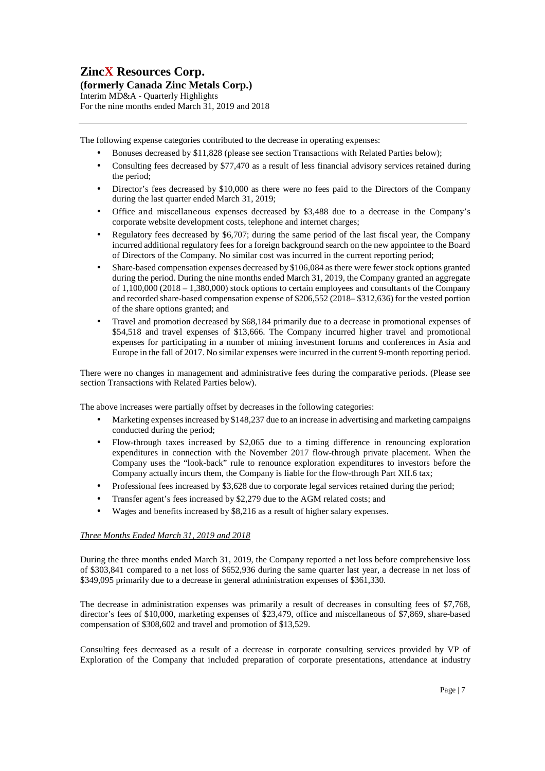### **(formerly Canada Zinc Metals Corp.)**

Interim MD&A - Quarterly Highlights For the nine months ended March 31, 2019 and 2018

The following expense categories contributed to the decrease in operating expenses:

- Bonuses decreased by \$11,828 (please see section Transactions with Related Parties below);
- Consulting fees decreased by \$77,470 as a result of less financial advisory services retained during the period;
- Director's fees decreased by \$10,000 as there were no fees paid to the Directors of the Company during the last quarter ended March 31, 2019;
- Office and miscellaneous expenses decreased by \$3,488 due to a decrease in the Company's corporate website development costs, telephone and internet charges;
- Regulatory fees decreased by \$6,707; during the same period of the last fiscal year, the Company incurred additional regulatory fees for a foreign background search on the new appointee to the Board of Directors of the Company. No similar cost was incurred in the current reporting period;
- Share-based compensation expenses decreased by \$106,084 as there were fewer stock options granted during the period. During the nine months ended March 31, 2019, the Company granted an aggregate of 1,100,000 (2018 – 1,380,000) stock options to certain employees and consultants of the Company and recorded share-based compensation expense of \$206,552 (2018– \$312,636) for the vested portion of the share options granted; and
- Travel and promotion decreased by \$68,184 primarily due to a decrease in promotional expenses of \$54,518 and travel expenses of \$13,666. The Company incurred higher travel and promotional expenses for participating in a number of mining investment forums and conferences in Asia and Europe in the fall of 2017. No similar expenses were incurred in the current 9-month reporting period.

There were no changes in management and administrative fees during the comparative periods. (Please see section Transactions with Related Parties below).

The above increases were partially offset by decreases in the following categories:

- Marketing expenses increased by \$148,237 due to an increase in advertising and marketing campaigns conducted during the period;
- Flow-through taxes increased by \$2,065 due to a timing difference in renouncing exploration expenditures in connection with the November 2017 flow-through private placement. When the Company uses the "look-back" rule to renounce exploration expenditures to investors before the Company actually incurs them, the Company is liable for the flow-through Part XII.6 tax;
- Professional fees increased by \$3,628 due to corporate legal services retained during the period;
- Transfer agent's fees increased by \$2,279 due to the AGM related costs; and
- Wages and benefits increased by \$8,216 as a result of higher salary expenses.

# *Three Months Ended March 31, 2019 and 2018*

During the three months ended March 31, 2019, the Company reported a net loss before comprehensive loss of \$303,841 compared to a net loss of \$652,936 during the same quarter last year, a decrease in net loss of \$349,095 primarily due to a decrease in general administration expenses of \$361,330.

The decrease in administration expenses was primarily a result of decreases in consulting fees of \$7,768, director's fees of \$10,000, marketing expenses of \$23,479, office and miscellaneous of \$7,869, share-based compensation of \$308,602 and travel and promotion of \$13,529.

Consulting fees decreased as a result of a decrease in corporate consulting services provided by VP of Exploration of the Company that included preparation of corporate presentations, attendance at industry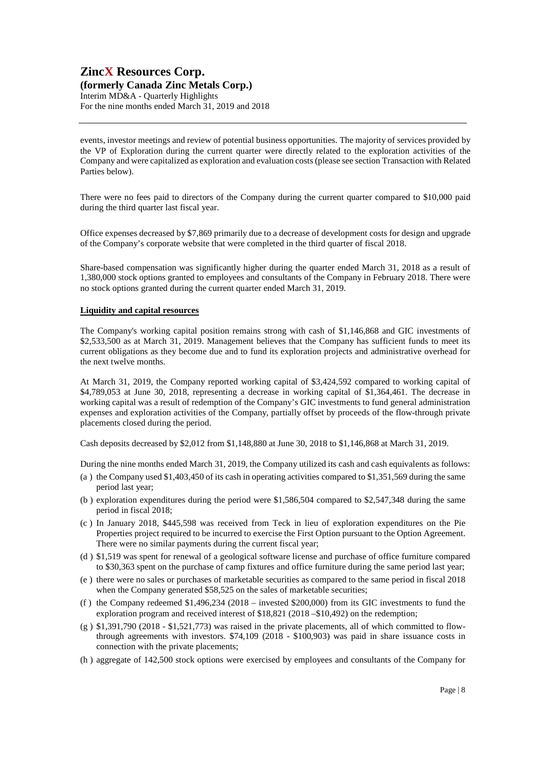# **ZincX Resources Corp. (formerly Canada Zinc Metals Corp.)**

Interim MD&A - Quarterly Highlights

For the nine months ended March 31, 2019 and 2018

events, investor meetings and review of potential business opportunities. The majority of services provided by the VP of Exploration during the current quarter were directly related to the exploration activities of the Company and were capitalized as exploration and evaluation costs (please see section Transaction with Related Parties below).

There were no fees paid to directors of the Company during the current quarter compared to \$10,000 paid during the third quarter last fiscal year.

Office expenses decreased by \$7,869 primarily due to a decrease of development costs for design and upgrade of the Company's corporate website that were completed in the third quarter of fiscal 2018.

Share-based compensation was significantly higher during the quarter ended March 31, 2018 as a result of 1,380,000 stock options granted to employees and consultants of the Company in February 2018. There were no stock options granted during the current quarter ended March 31, 2019.

#### **Liquidity and capital resources**

The Company's working capital position remains strong with cash of \$1,146,868 and GIC investments of \$2,533,500 as at March 31, 2019. Management believes that the Company has sufficient funds to meet its current obligations as they become due and to fund its exploration projects and administrative overhead for the next twelve months.

At March 31, 2019, the Company reported working capital of \$3,424,592 compared to working capital of \$4,789,053 at June 30, 2018, representing a decrease in working capital of \$1,364,461. The decrease in working capital was a result of redemption of the Company's GIC investments to fund general administration expenses and exploration activities of the Company, partially offset by proceeds of the flow-through private placements closed during the period.

Cash deposits decreased by \$2,012 from \$1,148,880 at June 30, 2018 to \$1,146,868 at March 31, 2019.

During the nine months ended March 31, 2019, the Company utilized its cash and cash equivalents as follows:

- (a ) the Company used \$1,403,450 of its cash in operating activities compared to \$1,351,569 during the same period last year;
- (b ) exploration expenditures during the period were \$1,586,504 compared to \$2,547,348 during the same period in fiscal 2018;
- (c ) In January 2018, \$445,598 was received from Teck in lieu of exploration expenditures on the Pie Properties project required to be incurred to exercise the First Option pursuant to the Option Agreement. There were no similar payments during the current fiscal year;
- (d ) \$1,519 was spent for renewal of a geological software license and purchase of office furniture compared to \$30,363 spent on the purchase of camp fixtures and office furniture during the same period last year;
- (e ) there were no sales or purchases of marketable securities as compared to the same period in fiscal 2018 when the Company generated \$58,525 on the sales of marketable securities;
- (f ) the Company redeemed \$1,496,234 (2018 invested \$200,000) from its GIC investments to fund the exploration program and received interest of \$18,821 (2018 – \$10,492) on the redemption;
- $(g)$  \$1,391,790 (2018 \$1,521,773) was raised in the private placements, all of which committed to flowthrough agreements with investors. \$74,109 (2018 - \$100,903) was paid in share issuance costs in connection with the private placements;
- (h ) aggregate of 142,500 stock options were exercised by employees and consultants of the Company for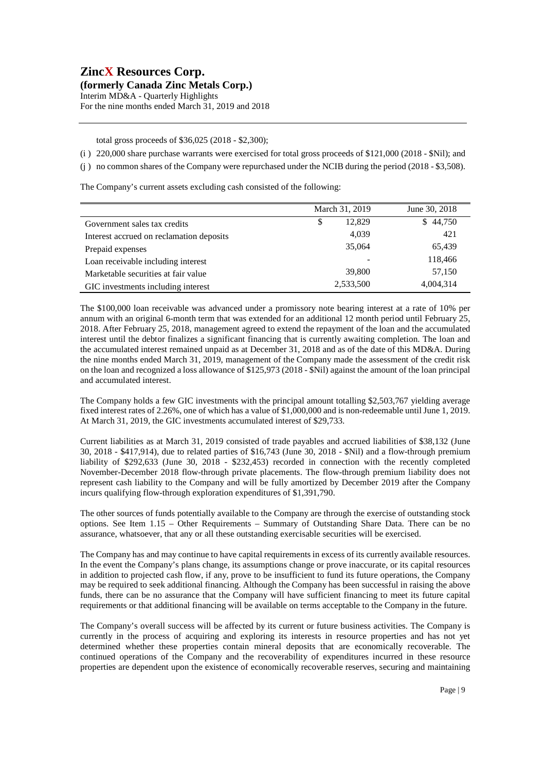**(formerly Canada Zinc Metals Corp.)**  Interim MD&A - Quarterly Highlights

For the nine months ended March 31, 2019 and 2018

total gross proceeds of \$36,025 (2018 - \$2,300);

- (i ) 220,000 share purchase warrants were exercised for total gross proceeds of \$121,000 (2018 \$Nil); and
- (j ) no common shares of the Company were repurchased under the NCIB during the period (2018 \$3,508).

The Company's current assets excluding cash consisted of the following:

|                                          | March 31, 2019 | June 30, 2018 |
|------------------------------------------|----------------|---------------|
| Government sales tax credits             | 12.829<br>\$   | 44,750<br>S.  |
| Interest accrued on reclamation deposits | 4,039          | 421           |
| Prepaid expenses                         | 35,064         | 65,439        |
| Loan receivable including interest       |                | 118,466       |
| Marketable securities at fair value      | 39,800         | 57,150        |
| GIC investments including interest       | 2,533,500      | 4,004,314     |

The \$100,000 loan receivable was advanced under a promissory note bearing interest at a rate of 10% per annum with an original 6-month term that was extended for an additional 12 month period until February 25, 2018. After February 25, 2018, management agreed to extend the repayment of the loan and the accumulated interest until the debtor finalizes a significant financing that is currently awaiting completion. The loan and the accumulated interest remained unpaid as at December 31, 2018 and as of the date of this MD&A. During the nine months ended March 31, 2019, management of the Company made the assessment of the credit risk on the loan and recognized a loss allowance of \$125,973 (2018 - \$Nil) against the amount of the loan principal and accumulated interest.

The Company holds a few GIC investments with the principal amount totalling \$2,503,767 yielding average fixed interest rates of 2.26%, one of which has a value of \$1,000,000 and is non-redeemable until June 1, 2019. At March 31, 2019, the GIC investments accumulated interest of \$29,733.

Current liabilities as at March 31, 2019 consisted of trade payables and accrued liabilities of \$38,132 (June 30, 2018 - \$417,914), due to related parties of \$16,743 (June 30, 2018 - \$Nil) and a flow-through premium liability of \$292,633 (June 30, 2018 - \$232,453) recorded in connection with the recently completed November-December 2018 flow-through private placements. The flow-through premium liability does not represent cash liability to the Company and will be fully amortized by December 2019 after the Company incurs qualifying flow-through exploration expenditures of \$1,391,790.

The other sources of funds potentially available to the Company are through the exercise of outstanding stock options. See Item 1.15 – Other Requirements – Summary of Outstanding Share Data. There can be no assurance, whatsoever, that any or all these outstanding exercisable securities will be exercised.

The Company has and may continue to have capital requirements in excess of its currently available resources. In the event the Company's plans change, its assumptions change or prove inaccurate, or its capital resources in addition to projected cash flow, if any, prove to be insufficient to fund its future operations, the Company may be required to seek additional financing. Although the Company has been successful in raising the above funds, there can be no assurance that the Company will have sufficient financing to meet its future capital requirements or that additional financing will be available on terms acceptable to the Company in the future.

The Company's overall success will be affected by its current or future business activities. The Company is currently in the process of acquiring and exploring its interests in resource properties and has not yet determined whether these properties contain mineral deposits that are economically recoverable. The continued operations of the Company and the recoverability of expenditures incurred in these resource properties are dependent upon the existence of economically recoverable reserves, securing and maintaining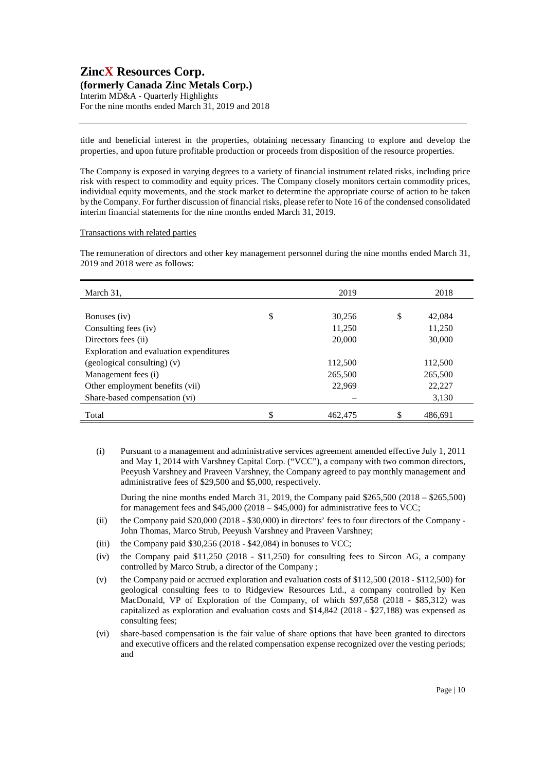# **ZincX Resources Corp. (formerly Canada Zinc Metals Corp.)**  Interim MD&A - Quarterly Highlights

For the nine months ended March 31, 2019 and 2018

title and beneficial interest in the properties, obtaining necessary financing to explore and develop the properties, and upon future profitable production or proceeds from disposition of the resource properties.

The Company is exposed in varying degrees to a variety of financial instrument related risks, including price risk with respect to commodity and equity prices. The Company closely monitors certain commodity prices, individual equity movements, and the stock market to determine the appropriate course of action to be taken by the Company. For further discussion of financial risks, please refer to Note 16 of the condensed consolidated interim financial statements for the nine months ended March 31, 2019.

#### Transactions with related parties

The remuneration of directors and other key management personnel during the nine months ended March 31, 2019 and 2018 were as follows:

| March 31,                               | 2019          | 2018          |
|-----------------------------------------|---------------|---------------|
|                                         |               |               |
| Bonuses (iv)                            | \$<br>30,256  | \$<br>42,084  |
| Consulting fees (iv)                    | 11,250        | 11,250        |
| Directors fees (ii)                     | 20,000        | 30,000        |
| Exploration and evaluation expenditures |               |               |
| $(gedological consulting)$ (v)          | 112,500       | 112,500       |
| Management fees (i)                     | 265,500       | 265,500       |
| Other employment benefits (vii)         | 22,969        | 22,227        |
| Share-based compensation (vi)           |               | 3,130         |
| Total                                   | \$<br>462,475 | \$<br>486,691 |

(i) Pursuant to a management and administrative services agreement amended effective July 1, 2011 and May 1, 2014 with Varshney Capital Corp. ("VCC"), a company with two common directors, Peeyush Varshney and Praveen Varshney, the Company agreed to pay monthly management and administrative fees of \$29,500 and \$5,000, respectively.

During the nine months ended March 31, 2019, the Company paid  $$265,500 (2018 - $265,500)$ for management fees and  $$45,000 (2018 - $45,000)$  for administrative fees to VCC;

- (ii) the Company paid \$20,000 (2018 \$30,000) in directors' fees to four directors of the Company John Thomas, Marco Strub, Peeyush Varshney and Praveen Varshney;
- (iii) the Company paid  $$30,256$  (2018  $$42,084$ ) in bonuses to VCC;
- (iv) the Company paid  $$11,250$  (2018  $$11,250$ ) for consulting fees to Sircon AG, a company controlled by Marco Strub, a director of the Company ;
- (v) the Company paid or accrued exploration and evaluation costs of \$112,500 (2018 \$112,500) for geological consulting fees to to Ridgeview Resources Ltd., a company controlled by Ken MacDonald, VP of Exploration of the Company, of which \$97,658 (2018 - \$85,312) was capitalized as exploration and evaluation costs and \$14,842 (2018 - \$27,188) was expensed as consulting fees;
- (vi) share-based compensation is the fair value of share options that have been granted to directors and executive officers and the related compensation expense recognized over the vesting periods; and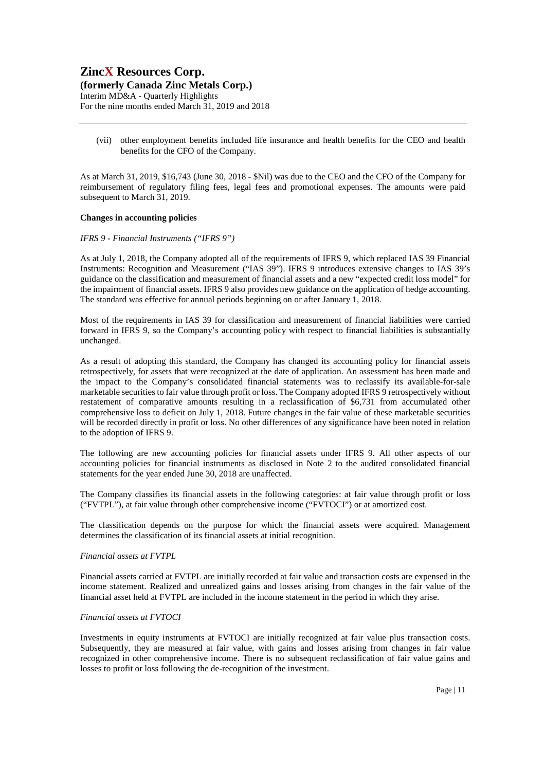**(formerly Canada Zinc Metals Corp.)** 

Interim MD&A - Quarterly Highlights For the nine months ended March 31, 2019 and 2018

(vii) other employment benefits included life insurance and health benefits for the CEO and health benefits for the CFO of the Company.

As at March 31, 2019, \$16,743 (June 30, 2018 - \$Nil) was due to the CEO and the CFO of the Company for reimbursement of regulatory filing fees, legal fees and promotional expenses. The amounts were paid subsequent to March 31, 2019.

#### **Changes in accounting policies**

#### *IFRS 9 - Financial Instruments ("IFRS 9")*

As at July 1, 2018, the Company adopted all of the requirements of IFRS 9, which replaced IAS 39 Financial Instruments: Recognition and Measurement ("IAS 39"). IFRS 9 introduces extensive changes to IAS 39's guidance on the classification and measurement of financial assets and a new "expected credit loss model" for the impairment of financial assets. IFRS 9 also provides new guidance on the application of hedge accounting. The standard was effective for annual periods beginning on or after January 1, 2018.

Most of the requirements in IAS 39 for classification and measurement of financial liabilities were carried forward in IFRS 9, so the Company's accounting policy with respect to financial liabilities is substantially unchanged.

As a result of adopting this standard, the Company has changed its accounting policy for financial assets retrospectively, for assets that were recognized at the date of application. An assessment has been made and the impact to the Company's consolidated financial statements was to reclassify its available-for-sale marketable securities to fair value through profit or loss. The Company adopted IFRS 9 retrospectively without restatement of comparative amounts resulting in a reclassification of \$6,731 from accumulated other comprehensive loss to deficit on July 1, 2018. Future changes in the fair value of these marketable securities will be recorded directly in profit or loss. No other differences of any significance have been noted in relation to the adoption of IFRS 9.

The following are new accounting policies for financial assets under IFRS 9. All other aspects of our accounting policies for financial instruments as disclosed in Note 2 to the audited consolidated financial statements for the year ended June 30, 2018 are unaffected.

The Company classifies its financial assets in the following categories: at fair value through profit or loss ("FVTPL"), at fair value through other comprehensive income ("FVTOCI") or at amortized cost.

The classification depends on the purpose for which the financial assets were acquired. Management determines the classification of its financial assets at initial recognition.

#### *Financial assets at FVTPL*

Financial assets carried at FVTPL are initially recorded at fair value and transaction costs are expensed in the income statement. Realized and unrealized gains and losses arising from changes in the fair value of the financial asset held at FVTPL are included in the income statement in the period in which they arise.

#### *Financial assets at FVTOCI*

Investments in equity instruments at FVTOCI are initially recognized at fair value plus transaction costs. Subsequently, they are measured at fair value, with gains and losses arising from changes in fair value recognized in other comprehensive income. There is no subsequent reclassification of fair value gains and losses to profit or loss following the de-recognition of the investment.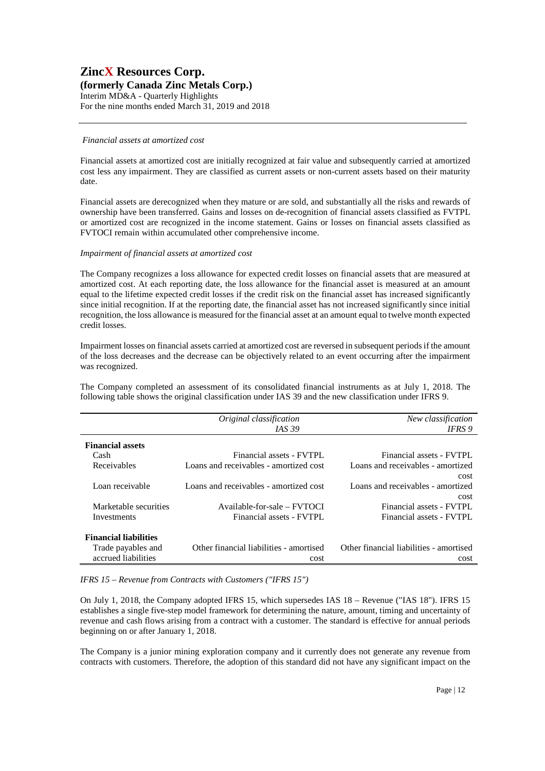# **ZincX Resources Corp. (formerly Canada Zinc Metals Corp.)**  Interim MD&A - Quarterly Highlights

For the nine months ended March 31, 2019 and 2018

#### *Financial assets at amortized cost*

Financial assets at amortized cost are initially recognized at fair value and subsequently carried at amortized cost less any impairment. They are classified as current assets or non-current assets based on their maturity date.

Financial assets are derecognized when they mature or are sold, and substantially all the risks and rewards of ownership have been transferred. Gains and losses on de-recognition of financial assets classified as FVTPL or amortized cost are recognized in the income statement. Gains or losses on financial assets classified as FVTOCI remain within accumulated other comprehensive income.

#### *Impairment of financial assets at amortized cost*

The Company recognizes a loss allowance for expected credit losses on financial assets that are measured at amortized cost. At each reporting date, the loss allowance for the financial asset is measured at an amount equal to the lifetime expected credit losses if the credit risk on the financial asset has increased significantly since initial recognition. If at the reporting date, the financial asset has not increased significantly since initial recognition, the loss allowance is measured for the financial asset at an amount equal to twelve month expected credit losses.

Impairment losses on financial assets carried at amortized cost are reversed in subsequent periods if the amount of the loss decreases and the decrease can be objectively related to an event occurring after the impairment was recognized.

The Company completed an assessment of its consolidated financial instruments as at July 1, 2018. The following table shows the original classification under IAS 39 and the new classification under IFRS 9.

|                              | Original classification                 | New classification                      |
|------------------------------|-----------------------------------------|-----------------------------------------|
|                              | <i>IAS</i> 39                           | IFRS 9                                  |
| <b>Financial assets</b>      |                                         |                                         |
| Cash                         | Financial assets - FVTPL                | Financial assets - FVTPL                |
| Receivables                  | Loans and receivables - amortized cost  | Loans and receivables - amortized       |
|                              |                                         | cost                                    |
| Loan receivable              | Loans and receivables - amortized cost  | Loans and receivables - amortized       |
|                              |                                         | cost                                    |
| Marketable securities        | Available-for-sale – FVTOCI             | Financial assets - FVTPL                |
| Investments                  | Financial assets - FVTPL                | Financial assets - FVTPL                |
|                              |                                         |                                         |
| <b>Financial liabilities</b> |                                         |                                         |
| Trade payables and           | Other financial liabilities - amortised | Other financial liabilities - amortised |
| accrued liabilities          | cost                                    | cost                                    |

*IFRS 15 – Revenue from Contracts with Customers ("IFRS 15")* 

On July 1, 2018, the Company adopted IFRS 15, which supersedes IAS 18 – Revenue ("IAS 18"). IFRS 15 establishes a single five-step model framework for determining the nature, amount, timing and uncertainty of revenue and cash flows arising from a contract with a customer. The standard is effective for annual periods beginning on or after January 1, 2018.

The Company is a junior mining exploration company and it currently does not generate any revenue from contracts with customers. Therefore, the adoption of this standard did not have any significant impact on the